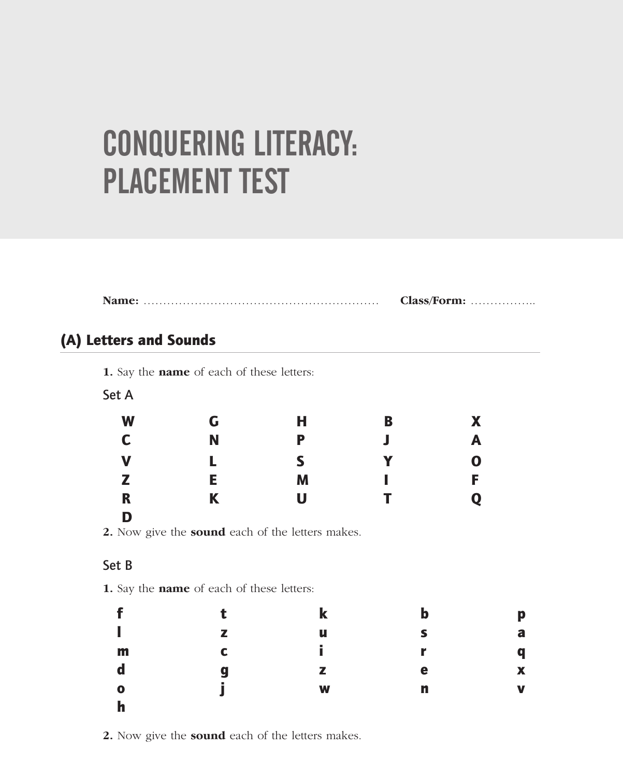# CONQUERING LITERACY: PLACEMENT TEST

|--|--|

### (A) Letters and Sounds

**1.** Say the **name** of each of these letters:

| Αt<br>ר |  |
|---------|--|
|---------|--|

| W           | G | Н | B | X           |
|-------------|---|---|---|-------------|
| $\mathbf c$ | N | P | Л | A           |
| V           |   | S | Y | $\mathbf 0$ |
| $\mathbb Z$ | E | M |   | F           |
| $\mathbf R$ | K | U | T | Q           |
| D           |   |   |   |             |

**2.** Now give the **sound** each of the letters makes.

#### Set B

**1.** Say the **name** of each of these letters:

|              |                          | $\bf k$ | b | p                         |
|--------------|--------------------------|---------|---|---------------------------|
| I            | $\overline{\phantom{a}}$ | u       | ς | a                         |
| m            | C                        | f.      | r | q                         |
| $\mathbf d$  | q                        | z       | e | $\boldsymbol{\mathsf{x}}$ |
| $\mathbf o$  | ٠                        | W       | n | $\mathbf v$               |
| $\mathbf{h}$ |                          |         |   |                           |

**2.** Now give the **sound** each of the letters makes.